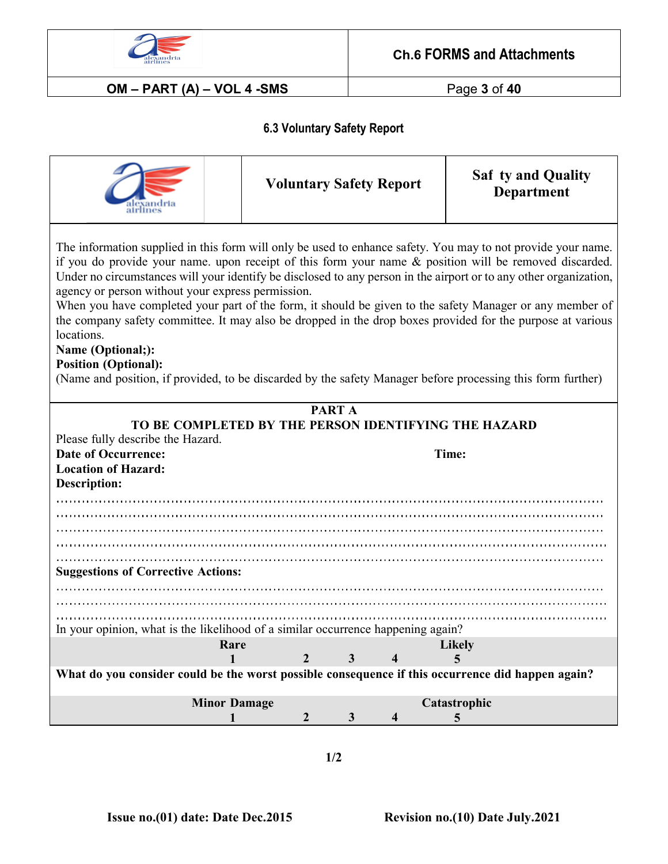

**OM – PART (A) – VOL 4 -SMS** Page **3** of **40**

## **6.3 Voluntary Safety Report**

|                                                                                                                                                                                                                                                                                                                                                                                                                                                                                                                                                                                                                                                                                                                                                                                                             |                | <b>Voluntary Safety Report</b>            |  | <b>Saf ty and Quality</b><br><b>Department</b> |  |  |  |  |
|-------------------------------------------------------------------------------------------------------------------------------------------------------------------------------------------------------------------------------------------------------------------------------------------------------------------------------------------------------------------------------------------------------------------------------------------------------------------------------------------------------------------------------------------------------------------------------------------------------------------------------------------------------------------------------------------------------------------------------------------------------------------------------------------------------------|----------------|-------------------------------------------|--|------------------------------------------------|--|--|--|--|
| The information supplied in this form will only be used to enhance safety. You may to not provide your name.<br>if you do provide your name. upon receipt of this form your name & position will be removed discarded.<br>Under no circumstances will your identify be disclosed to any person in the airport or to any other organization,<br>agency or person without your express permission.<br>When you have completed your part of the form, it should be given to the safety Manager or any member of<br>the company safety committee. It may also be dropped in the drop boxes provided for the purpose at various<br>locations.<br>Name (Optional;):<br><b>Position (Optional):</b><br>(Name and position, if provided, to be discarded by the safety Manager before processing this form further) |                |                                           |  |                                                |  |  |  |  |
| <b>PART A</b><br>TO BE COMPLETED BY THE PERSON IDENTIFYING THE HAZARD                                                                                                                                                                                                                                                                                                                                                                                                                                                                                                                                                                                                                                                                                                                                       |                |                                           |  |                                                |  |  |  |  |
| Please fully describe the Hazard.                                                                                                                                                                                                                                                                                                                                                                                                                                                                                                                                                                                                                                                                                                                                                                           |                |                                           |  |                                                |  |  |  |  |
| <b>Date of Occurrence:</b>                                                                                                                                                                                                                                                                                                                                                                                                                                                                                                                                                                                                                                                                                                                                                                                  |                |                                           |  | Time:                                          |  |  |  |  |
| <b>Location of Hazard:</b>                                                                                                                                                                                                                                                                                                                                                                                                                                                                                                                                                                                                                                                                                                                                                                                  |                |                                           |  |                                                |  |  |  |  |
| <b>Description:</b>                                                                                                                                                                                                                                                                                                                                                                                                                                                                                                                                                                                                                                                                                                                                                                                         |                |                                           |  |                                                |  |  |  |  |
|                                                                                                                                                                                                                                                                                                                                                                                                                                                                                                                                                                                                                                                                                                                                                                                                             |                |                                           |  |                                                |  |  |  |  |
|                                                                                                                                                                                                                                                                                                                                                                                                                                                                                                                                                                                                                                                                                                                                                                                                             |                |                                           |  |                                                |  |  |  |  |
|                                                                                                                                                                                                                                                                                                                                                                                                                                                                                                                                                                                                                                                                                                                                                                                                             |                |                                           |  |                                                |  |  |  |  |
|                                                                                                                                                                                                                                                                                                                                                                                                                                                                                                                                                                                                                                                                                                                                                                                                             |                |                                           |  |                                                |  |  |  |  |
| <b>Suggestions of Corrective Actions:</b>                                                                                                                                                                                                                                                                                                                                                                                                                                                                                                                                                                                                                                                                                                                                                                   |                |                                           |  |                                                |  |  |  |  |
|                                                                                                                                                                                                                                                                                                                                                                                                                                                                                                                                                                                                                                                                                                                                                                                                             |                |                                           |  |                                                |  |  |  |  |
|                                                                                                                                                                                                                                                                                                                                                                                                                                                                                                                                                                                                                                                                                                                                                                                                             |                |                                           |  |                                                |  |  |  |  |
| In your opinion, what is the likelihood of a similar occurrence happening again?                                                                                                                                                                                                                                                                                                                                                                                                                                                                                                                                                                                                                                                                                                                            |                |                                           |  |                                                |  |  |  |  |
| Rare                                                                                                                                                                                                                                                                                                                                                                                                                                                                                                                                                                                                                                                                                                                                                                                                        |                |                                           |  | <b>Likely</b>                                  |  |  |  |  |
|                                                                                                                                                                                                                                                                                                                                                                                                                                                                                                                                                                                                                                                                                                                                                                                                             | $\overline{2}$ | $\overline{3}$<br>$\overline{\mathbf{4}}$ |  | 5                                              |  |  |  |  |
| What do you consider could be the worst possible consequence if this occurrence did happen again?                                                                                                                                                                                                                                                                                                                                                                                                                                                                                                                                                                                                                                                                                                           |                |                                           |  |                                                |  |  |  |  |
| <b>Minor Damage</b>                                                                                                                                                                                                                                                                                                                                                                                                                                                                                                                                                                                                                                                                                                                                                                                         |                |                                           |  | Catastrophic                                   |  |  |  |  |
|                                                                                                                                                                                                                                                                                                                                                                                                                                                                                                                                                                                                                                                                                                                                                                                                             | $\overline{2}$ | $\mathbf{3}$<br>4                         |  | 5                                              |  |  |  |  |